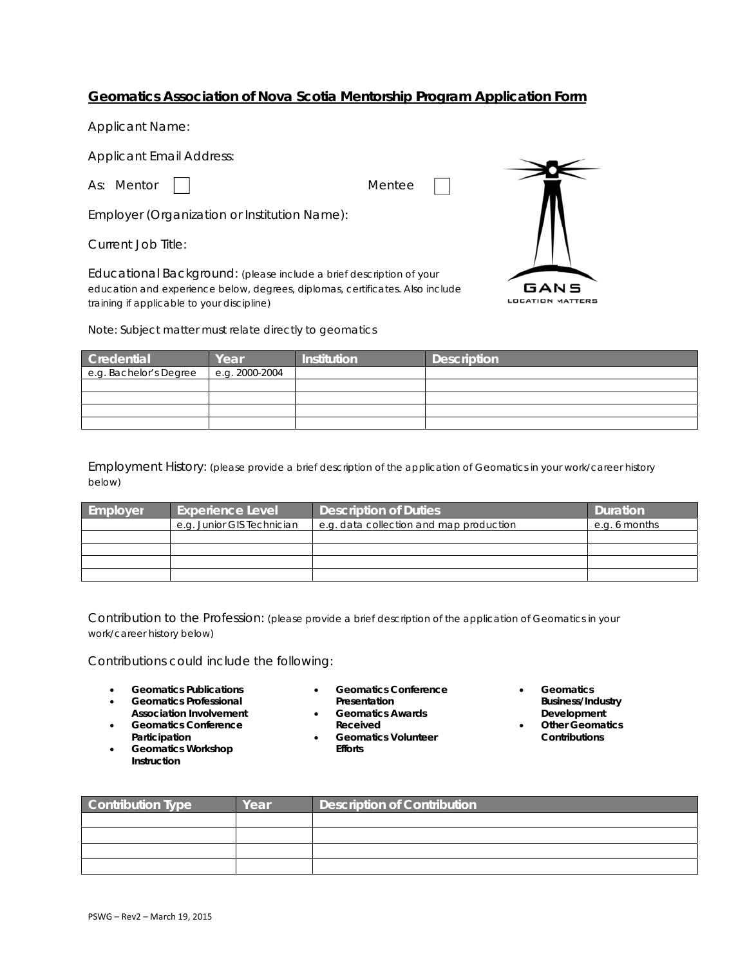## Geomatics Association of Nova Scotia Mentorship Program Application Form

**Applicant Name:** 

**Applicant Email Address:** 

As: Mentor

Mentee

Employer (Organization or Institution Name):

Current Job Title:

Educational Background: (please include a brief description of your education and experience below, degrees, diplomas, certificates. Also include training if applicable to your discipline)



Note: Subject matter must relate directly to geomatics

| Credential             | Year           | <b>Institution</b> | <b>Description</b> |
|------------------------|----------------|--------------------|--------------------|
| e.g. Bachelor's Degree | e.g. 2000-2004 |                    |                    |
|                        |                |                    |                    |
|                        |                |                    |                    |
|                        |                |                    |                    |
|                        |                |                    |                    |

Employment History: (please provide a brief description of the application of Geomatics in your work/career history below)

| Employer | <b>Experience Level</b>    | <b>Description of Duties</b>            | <b>Duration</b> |
|----------|----------------------------|-----------------------------------------|-----------------|
|          | e.g. Junior GIS Technician | e.g. data collection and map production | e.g. 6 months   |
|          |                            |                                         |                 |
|          |                            |                                         |                 |
|          |                            |                                         |                 |
|          |                            |                                         |                 |

Contribution to the Profession: (please provide a brief description of the application of Geomatics in your work/career history below)

Contributions could include the following:

- **Geomatics Publications**  $\bullet$
- **Geomatics Professional Association Involvement**
- **Geomatics Conference** Participation
- **Geomatics Workshop** Instruction
- **Geomatics Conference**  $\bullet$ Presentation
- **Geomatics Awards** Received
- **Geomatics Volunteer**  $\bullet$ **Efforts**
- Geomatics **Business/Industry** Development
- **Other Geomatics** Contributions

| Contribution Type | Year | <b>Description of Contribution</b> |  |
|-------------------|------|------------------------------------|--|
|                   |      |                                    |  |
|                   |      |                                    |  |
|                   |      |                                    |  |
|                   |      |                                    |  |